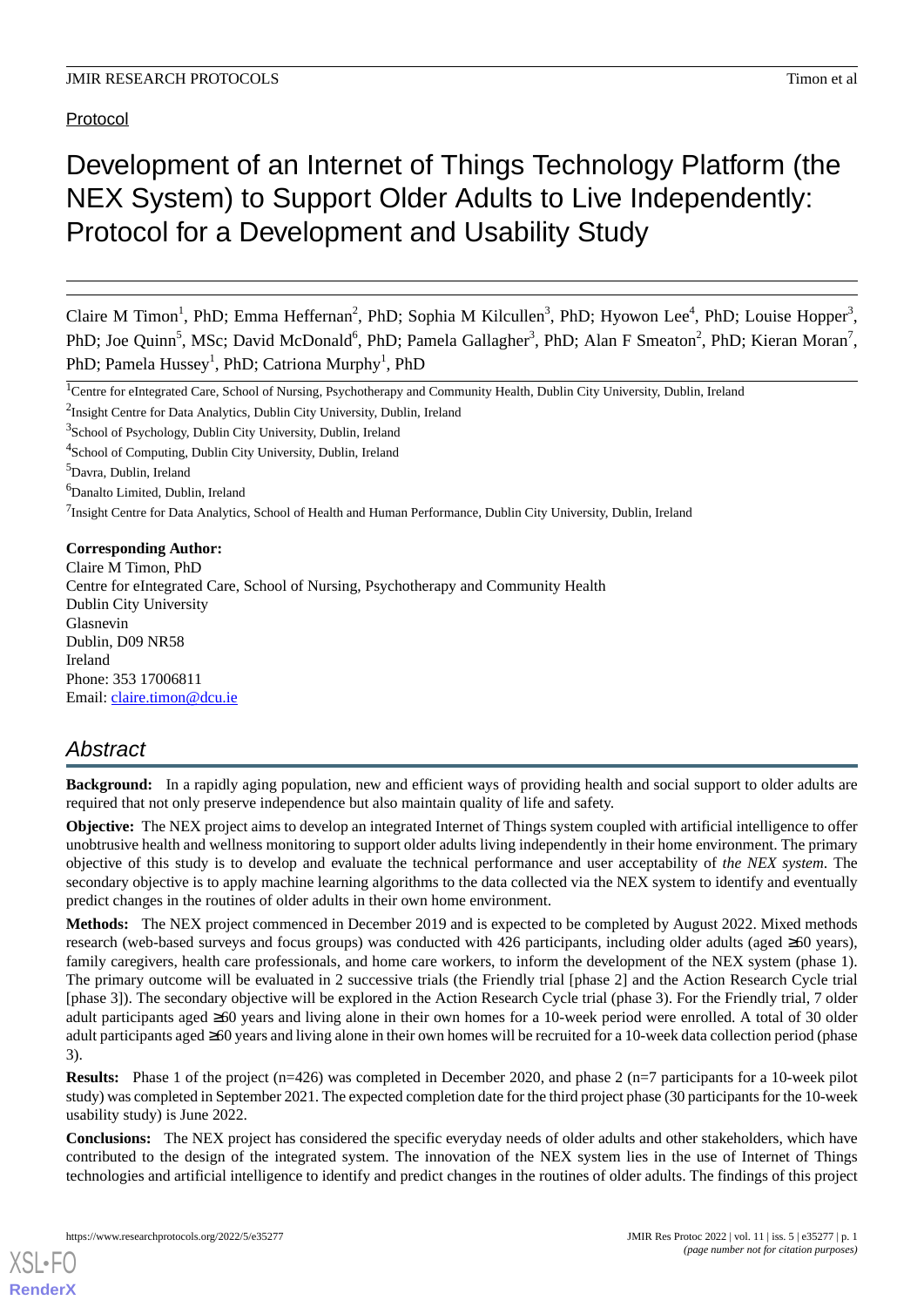Protocol

# Development of an Internet of Things Technology Platform (the NEX System) to Support Older Adults to Live Independently: Protocol for a Development and Usability Study

Claire M Timon<sup>1</sup>, PhD; Emma Heffernan<sup>2</sup>, PhD; Sophia M Kilcullen<sup>3</sup>, PhD; Hyowon Lee<sup>4</sup>, PhD; Louise Hopper<sup>3</sup>, PhD; Joe Quinn<sup>5</sup>, MSc; David McDonald<sup>6</sup>, PhD; Pamela Gallagher<sup>3</sup>, PhD; Alan F Smeaton<sup>2</sup>, PhD; Kieran Moran<sup>7</sup>, PhD; Pamela Hussey<sup>1</sup>, PhD; Catriona Murphy<sup>1</sup>, PhD

<sup>1</sup>Centre for eIntegrated Care, School of Nursing, Psychotherapy and Community Health, Dublin City University, Dublin, Ireland

<sup>2</sup>Insight Centre for Data Analytics, Dublin City University, Dublin, Ireland

<sup>3</sup>School of Psychology, Dublin City University, Dublin, Ireland

<sup>4</sup>School of Computing, Dublin City University, Dublin, Ireland

<sup>5</sup>Davra, Dublin, Ireland

<sup>6</sup>Danalto Limited, Dublin, Ireland

<sup>7</sup>Insight Centre for Data Analytics, School of Health and Human Performance, Dublin City University, Dublin, Ireland

# **Corresponding Author:**

Claire M Timon, PhD Centre for eIntegrated Care, School of Nursing, Psychotherapy and Community Health Dublin City University Glasnevin Dublin, D09 NR58 Ireland Phone: 353 17006811 Email: *[claire.timon@dcu.ie](mailto:claire.timon@dcu.ie)* 

# *Abstract*

**Background:** In a rapidly aging population, new and efficient ways of providing health and social support to older adults are required that not only preserve independence but also maintain quality of life and safety.

**Objective:** The NEX project aims to develop an integrated Internet of Things system coupled with artificial intelligence to offer unobtrusive health and wellness monitoring to support older adults living independently in their home environment. The primary objective of this study is to develop and evaluate the technical performance and user acceptability of *the NEX system*. The secondary objective is to apply machine learning algorithms to the data collected via the NEX system to identify and eventually predict changes in the routines of older adults in their own home environment.

**Methods:** The NEX project commenced in December 2019 and is expected to be completed by August 2022. Mixed methods research (web-based surveys and focus groups) was conducted with 426 participants, including older adults (aged ≥60 years), family caregivers, health care professionals, and home care workers, to inform the development of the NEX system (phase 1). The primary outcome will be evaluated in 2 successive trials (the Friendly trial [phase 2] and the Action Research Cycle trial [phase 3]). The secondary objective will be explored in the Action Research Cycle trial (phase 3). For the Friendly trial, 7 older adult participants aged ≥60 years and living alone in their own homes for a 10-week period were enrolled. A total of 30 older adult participants aged ≥60 years and living alone in their own homes will be recruited for a 10-week data collection period (phase 3).

**Results:** Phase 1 of the project (n=426) was completed in December 2020, and phase 2 (n=7 participants for a 10-week pilot study) was completed in September 2021. The expected completion date for the third project phase (30 participants for the 10-week usability study) is June 2022.

**Conclusions:** The NEX project has considered the specific everyday needs of older adults and other stakeholders, which have contributed to the design of the integrated system. The innovation of the NEX system lies in the use of Internet of Things technologies and artificial intelligence to identify and predict changes in the routines of older adults. The findings of this project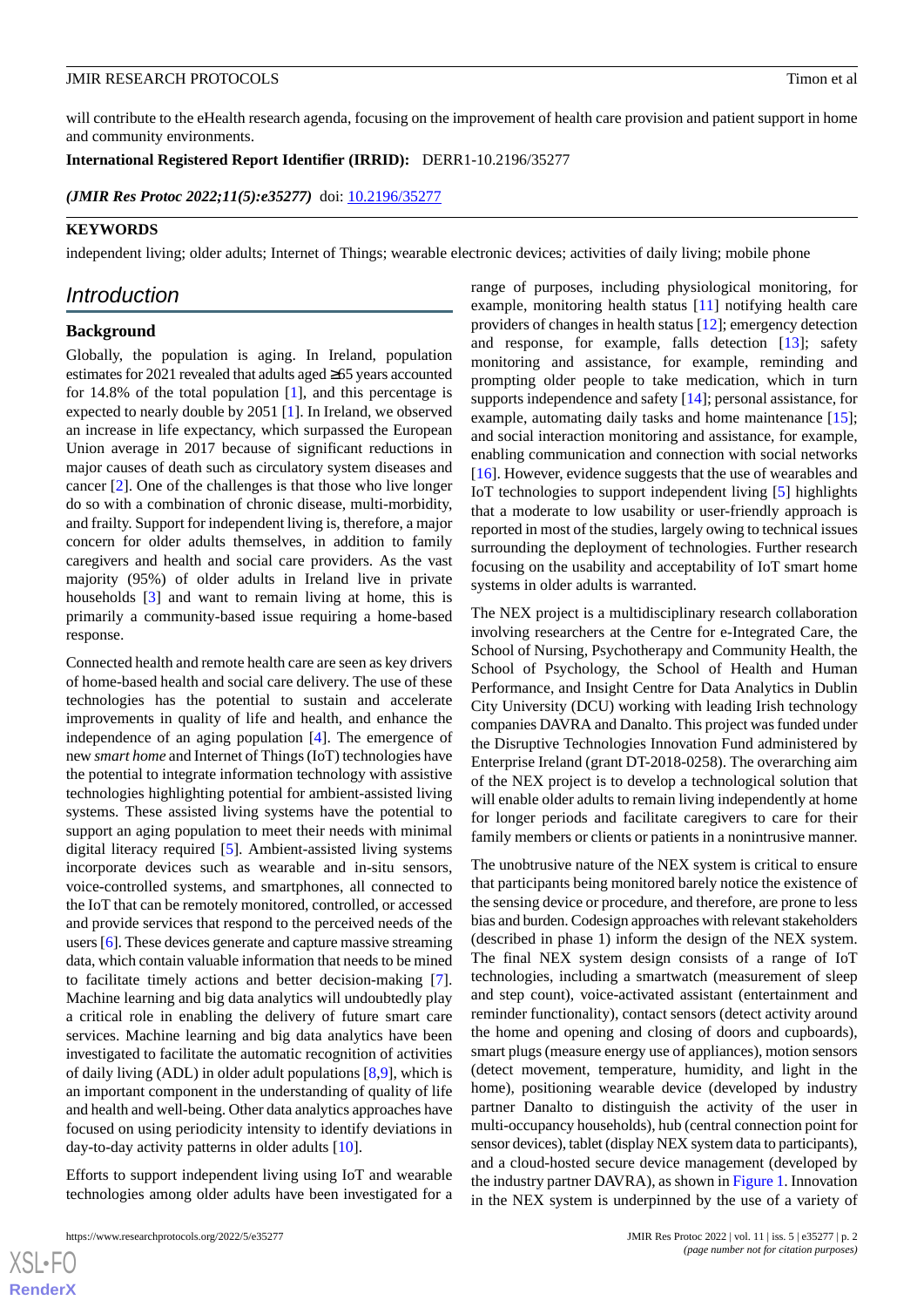will contribute to the eHealth research agenda, focusing on the improvement of health care provision and patient support in home and community environments.

**International Registered Report Identifier (IRRID):** DERR1-10.2196/35277

*(JMIR Res Protoc 2022;11(5):e35277)* doi:  $10.2196/35277$ 

### **KEYWORDS**

independent living; older adults; Internet of Things; wearable electronic devices; activities of daily living; mobile phone

# *Introduction*

# **Background**

Globally, the population is aging. In Ireland, population estimates for 2021 revealed that adults aged ≥65 years accounted for 14.8% of the total population [[1\]](#page-7-0), and this percentage is expected to nearly double by 2051 [[1\]](#page-7-0). In Ireland, we observed an increase in life expectancy, which surpassed the European Union average in 2017 because of significant reductions in major causes of death such as circulatory system diseases and cancer [[2\]](#page-7-1). One of the challenges is that those who live longer do so with a combination of chronic disease, multi-morbidity, and frailty. Support for independent living is, therefore, a major concern for older adults themselves, in addition to family caregivers and health and social care providers. As the vast majority (95%) of older adults in Ireland live in private households [[3](#page-7-2)] and want to remain living at home, this is primarily a community-based issue requiring a home-based response.

Connected health and remote health care are seen as key drivers of home-based health and social care delivery. The use of these technologies has the potential to sustain and accelerate improvements in quality of life and health, and enhance the independence of an aging population [\[4\]](#page-7-3). The emergence of new *smart home* and Internet of Things (IoT) technologies have the potential to integrate information technology with assistive technologies highlighting potential for ambient-assisted living systems. These assisted living systems have the potential to support an aging population to meet their needs with minimal digital literacy required [[5\]](#page-7-4). Ambient-assisted living systems incorporate devices such as wearable and in-situ sensors, voice-controlled systems, and smartphones, all connected to the IoT that can be remotely monitored, controlled, or accessed and provide services that respond to the perceived needs of the users [[6\]](#page-7-5). These devices generate and capture massive streaming data, which contain valuable information that needs to be mined to facilitate timely actions and better decision-making [[7\]](#page-7-6). Machine learning and big data analytics will undoubtedly play a critical role in enabling the delivery of future smart care services. Machine learning and big data analytics have been investigated to facilitate the automatic recognition of activities of daily living (ADL) in older adult populations [[8,](#page-7-7)[9](#page-7-8)], which is an important component in the understanding of quality of life and health and well-being. Other data analytics approaches have focused on using periodicity intensity to identify deviations in day-to-day activity patterns in older adults [[10\]](#page-7-9).

Efforts to support independent living using IoT and wearable technologies among older adults have been investigated for a range of purposes, including physiological monitoring, for example, monitoring health status [\[11](#page-7-10)] notifying health care providers of changes in health status [\[12](#page-7-11)]; emergency detection and response, for example, falls detection [\[13](#page-7-12)]; safety monitoring and assistance, for example, reminding and prompting older people to take medication, which in turn supports independence and safety [\[14](#page-8-0)]; personal assistance, for example, automating daily tasks and home maintenance [[15\]](#page-8-1); and social interaction monitoring and assistance, for example, enabling communication and connection with social networks [[16\]](#page-8-2). However, evidence suggests that the use of wearables and IoT technologies to support independent living [\[5](#page-7-4)] highlights that a moderate to low usability or user-friendly approach is reported in most of the studies, largely owing to technical issues surrounding the deployment of technologies. Further research focusing on the usability and acceptability of IoT smart home systems in older adults is warranted.

The NEX project is a multidisciplinary research collaboration involving researchers at the Centre for e-Integrated Care, the School of Nursing, Psychotherapy and Community Health, the School of Psychology, the School of Health and Human Performance, and Insight Centre for Data Analytics in Dublin City University (DCU) working with leading Irish technology companies DAVRA and Danalto. This project was funded under the Disruptive Technologies Innovation Fund administered by Enterprise Ireland (grant DT-2018-0258). The overarching aim of the NEX project is to develop a technological solution that will enable older adults to remain living independently at home for longer periods and facilitate caregivers to care for their family members or clients or patients in a nonintrusive manner.

The unobtrusive nature of the NEX system is critical to ensure that participants being monitored barely notice the existence of the sensing device or procedure, and therefore, are prone to less bias and burden. Codesign approaches with relevant stakeholders (described in phase 1) inform the design of the NEX system. The final NEX system design consists of a range of IoT technologies, including a smartwatch (measurement of sleep and step count), voice-activated assistant (entertainment and reminder functionality), contact sensors (detect activity around the home and opening and closing of doors and cupboards), smart plugs (measure energy use of appliances), motion sensors (detect movement, temperature, humidity, and light in the home), positioning wearable device (developed by industry partner Danalto to distinguish the activity of the user in multi-occupancy households), hub (central connection point for sensor devices), tablet (display NEX system data to participants), and a cloud-hosted secure device management (developed by the industry partner DAVRA), as shown in [Figure 1](#page-2-0). Innovation in the NEX system is underpinned by the use of a variety of

 $XS$  • FO **[RenderX](http://www.renderx.com/)**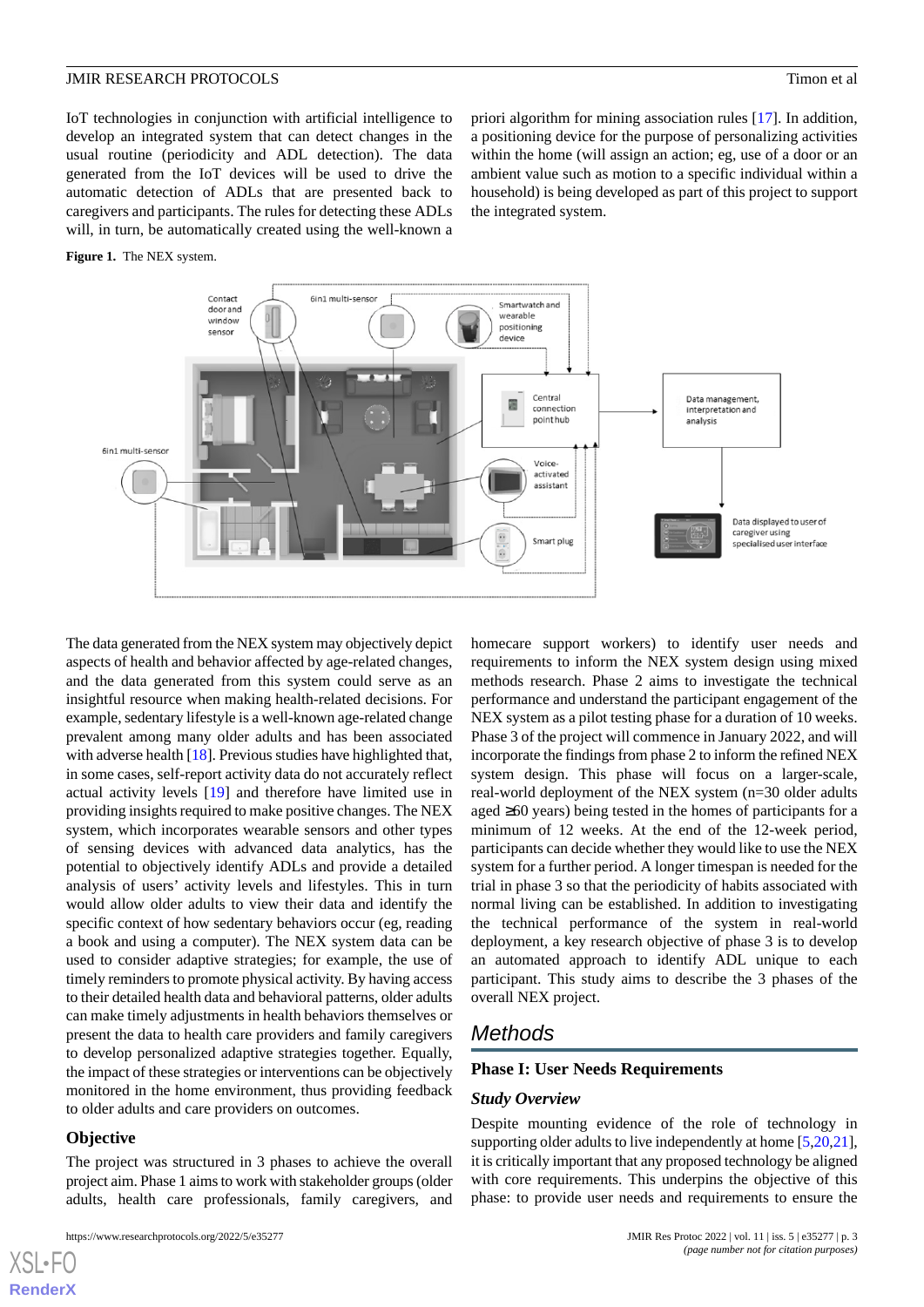IoT technologies in conjunction with artificial intelligence to develop an integrated system that can detect changes in the usual routine (periodicity and ADL detection). The data generated from the IoT devices will be used to drive the automatic detection of ADLs that are presented back to caregivers and participants. The rules for detecting these ADLs will, in turn, be automatically created using the well-known a

<span id="page-2-0"></span>**Figure 1.** The NEX system.

priori algorithm for mining association rules [[17\]](#page-8-3). In addition, a positioning device for the purpose of personalizing activities within the home (will assign an action; eg, use of a door or an ambient value such as motion to a specific individual within a household) is being developed as part of this project to support the integrated system.



The data generated from the NEX system may objectively depict aspects of health and behavior affected by age-related changes, and the data generated from this system could serve as an insightful resource when making health-related decisions. For example, sedentary lifestyle is a well-known age-related change prevalent among many older adults and has been associated with adverse health [[18\]](#page-8-4). Previous studies have highlighted that, in some cases, self-report activity data do not accurately reflect actual activity levels [[19\]](#page-8-5) and therefore have limited use in providing insights required to make positive changes. The NEX system, which incorporates wearable sensors and other types of sensing devices with advanced data analytics, has the potential to objectively identify ADLs and provide a detailed analysis of users' activity levels and lifestyles. This in turn would allow older adults to view their data and identify the specific context of how sedentary behaviors occur (eg, reading a book and using a computer). The NEX system data can be used to consider adaptive strategies; for example, the use of timely reminders to promote physical activity. By having access to their detailed health data and behavioral patterns, older adults can make timely adjustments in health behaviors themselves or present the data to health care providers and family caregivers to develop personalized adaptive strategies together. Equally, the impact of these strategies or interventions can be objectively monitored in the home environment, thus providing feedback to older adults and care providers on outcomes.

### **Objective**

[XSL](http://www.w3.org/Style/XSL)•FO **[RenderX](http://www.renderx.com/)**

The project was structured in 3 phases to achieve the overall project aim. Phase 1 aims to work with stakeholder groups (older adults, health care professionals, family caregivers, and

```
https://www.researchprotocols.org/2022/5/e35277 JMIR Res Protoc 2022 | vol. 11 | iss. 5 | e35277 | p. 3
```
homecare support workers) to identify user needs and requirements to inform the NEX system design using mixed methods research. Phase 2 aims to investigate the technical performance and understand the participant engagement of the NEX system as a pilot testing phase for a duration of 10 weeks. Phase 3 of the project will commence in January 2022, and will incorporate the findings from phase 2 to inform the refined NEX system design. This phase will focus on a larger-scale, real-world deployment of the NEX system (n=30 older adults aged ≥60 years) being tested in the homes of participants for a minimum of 12 weeks. At the end of the 12-week period, participants can decide whether they would like to use the NEX system for a further period. A longer timespan is needed for the trial in phase 3 so that the periodicity of habits associated with normal living can be established. In addition to investigating the technical performance of the system in real-world deployment, a key research objective of phase 3 is to develop an automated approach to identify ADL unique to each participant. This study aims to describe the 3 phases of the overall NEX project.

# *Methods*

# **Phase I: User Needs Requirements**

### *Study Overview*

Despite mounting evidence of the role of technology in supporting older adults to live independently at home [\[5](#page-7-4),[20,](#page-8-6)[21\]](#page-8-7), it is critically important that any proposed technology be aligned with core requirements. This underpins the objective of this phase: to provide user needs and requirements to ensure the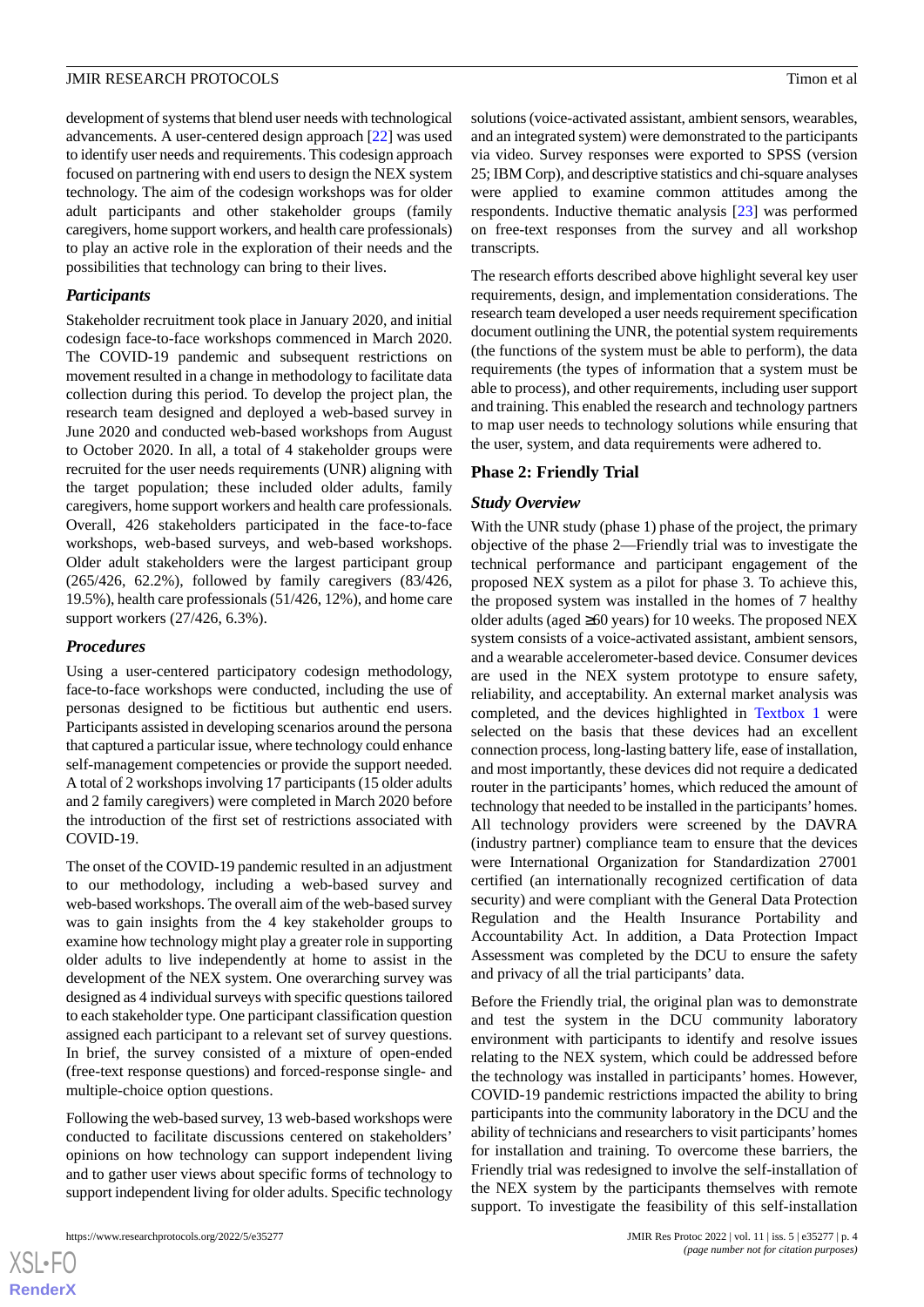development of systems that blend user needs with technological advancements. A user-centered design approach [[22\]](#page-8-8) was used to identify user needs and requirements. This codesign approach focused on partnering with end users to design the NEX system technology. The aim of the codesign workshops was for older adult participants and other stakeholder groups (family caregivers, home support workers, and health care professionals) to play an active role in the exploration of their needs and the possibilities that technology can bring to their lives.

# *Participants*

Stakeholder recruitment took place in January 2020, and initial codesign face-to-face workshops commenced in March 2020. The COVID-19 pandemic and subsequent restrictions on movement resulted in a change in methodology to facilitate data collection during this period. To develop the project plan, the research team designed and deployed a web-based survey in June 2020 and conducted web-based workshops from August to October 2020. In all, a total of 4 stakeholder groups were recruited for the user needs requirements (UNR) aligning with the target population; these included older adults, family caregivers, home support workers and health care professionals. Overall, 426 stakeholders participated in the face-to-face workshops, web-based surveys, and web-based workshops. Older adult stakeholders were the largest participant group (265/426, 62.2%), followed by family caregivers (83/426, 19.5%), health care professionals (51/426, 12%), and home care support workers (27/426, 6.3%).

# *Procedures*

Using a user-centered participatory codesign methodology, face-to-face workshops were conducted, including the use of personas designed to be fictitious but authentic end users. Participants assisted in developing scenarios around the persona that captured a particular issue, where technology could enhance self-management competencies or provide the support needed. A total of 2 workshops involving 17 participants (15 older adults and 2 family caregivers) were completed in March 2020 before the introduction of the first set of restrictions associated with COVID-19.

The onset of the COVID-19 pandemic resulted in an adjustment to our methodology, including a web-based survey and web-based workshops. The overall aim of the web-based survey was to gain insights from the 4 key stakeholder groups to examine how technology might play a greater role in supporting older adults to live independently at home to assist in the development of the NEX system. One overarching survey was designed as 4 individual surveys with specific questions tailored to each stakeholder type. One participant classification question assigned each participant to a relevant set of survey questions. In brief, the survey consisted of a mixture of open-ended (free-text response questions) and forced-response single- and multiple-choice option questions.

Following the web-based survey, 13 web-based workshops were conducted to facilitate discussions centered on stakeholders' opinions on how technology can support independent living and to gather user views about specific forms of technology to support independent living for older adults. Specific technology

solutions (voice-activated assistant, ambient sensors, wearables, and an integrated system) were demonstrated to the participants via video. Survey responses were exported to SPSS (version 25; IBM Corp), and descriptive statistics and chi-square analyses were applied to examine common attitudes among the respondents. Inductive thematic analysis [\[23](#page-8-9)] was performed on free-text responses from the survey and all workshop transcripts.

The research efforts described above highlight several key user requirements, design, and implementation considerations. The research team developed a user needs requirement specification document outlining the UNR, the potential system requirements (the functions of the system must be able to perform), the data requirements (the types of information that a system must be able to process), and other requirements, including user support and training. This enabled the research and technology partners to map user needs to technology solutions while ensuring that the user, system, and data requirements were adhered to.

# **Phase 2: Friendly Trial**

# *Study Overview*

With the UNR study (phase 1) phase of the project, the primary objective of the phase 2—Friendly trial was to investigate the technical performance and participant engagement of the proposed NEX system as a pilot for phase 3. To achieve this, the proposed system was installed in the homes of 7 healthy older adults (aged  $\geq 60$  years) for 10 weeks. The proposed NEX system consists of a voice-activated assistant, ambient sensors, and a wearable accelerometer-based device. Consumer devices are used in the NEX system prototype to ensure safety, reliability, and acceptability. An external market analysis was completed, and the devices highlighted in [Textbox 1](#page-4-0) were selected on the basis that these devices had an excellent connection process, long-lasting battery life, ease of installation, and most importantly, these devices did not require a dedicated router in the participants' homes, which reduced the amount of technology that needed to be installed in the participants'homes. All technology providers were screened by the DAVRA (industry partner) compliance team to ensure that the devices were International Organization for Standardization 27001 certified (an internationally recognized certification of data security) and were compliant with the General Data Protection Regulation and the Health Insurance Portability and Accountability Act. In addition, a Data Protection Impact Assessment was completed by the DCU to ensure the safety and privacy of all the trial participants' data.

Before the Friendly trial, the original plan was to demonstrate and test the system in the DCU community laboratory environment with participants to identify and resolve issues relating to the NEX system, which could be addressed before the technology was installed in participants' homes. However, COVID-19 pandemic restrictions impacted the ability to bring participants into the community laboratory in the DCU and the ability of technicians and researchers to visit participants'homes for installation and training. To overcome these barriers, the Friendly trial was redesigned to involve the self-installation of the NEX system by the participants themselves with remote support. To investigate the feasibility of this self-installation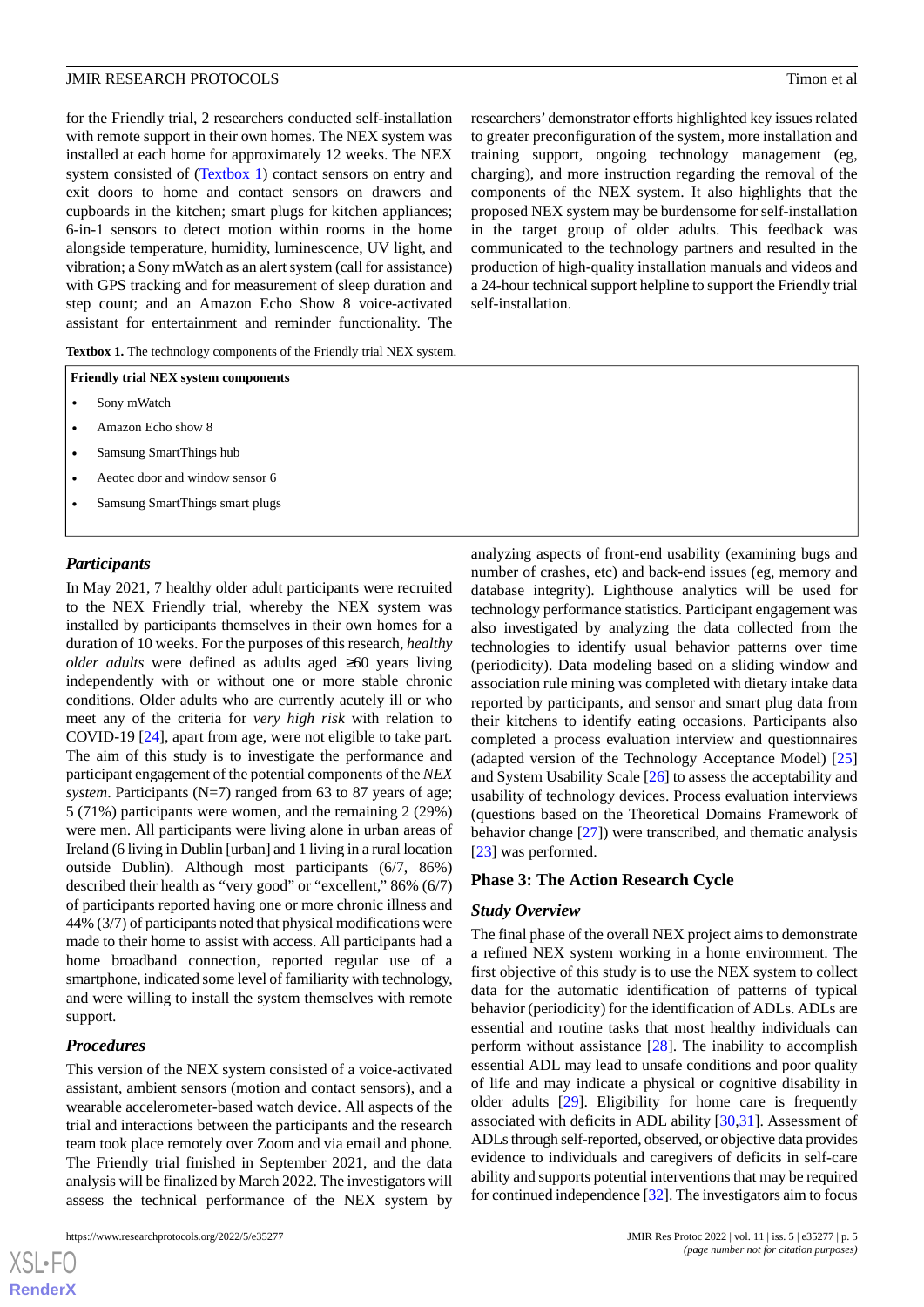for the Friendly trial, 2 researchers conducted self-installation with remote support in their own homes. The NEX system was installed at each home for approximately 12 weeks. The NEX system consisted of ([Textbox 1](#page-4-0)) contact sensors on entry and exit doors to home and contact sensors on drawers and cupboards in the kitchen; smart plugs for kitchen appliances; 6-in-1 sensors to detect motion within rooms in the home alongside temperature, humidity, luminescence, UV light, and vibration; a Sony mWatch as an alert system (call for assistance) with GPS tracking and for measurement of sleep duration and step count; and an Amazon Echo Show 8 voice-activated assistant for entertainment and reminder functionality. The

<span id="page-4-0"></span>Textbox 1. The technology components of the Friendly trial NEX system.

| <b>Friendly trial NEX system components</b> |  |  |  |
|---------------------------------------------|--|--|--|
|---------------------------------------------|--|--|--|

- Sony mWatch
- Amazon Echo show 8
- Samsung SmartThings hub
- Aeotec door and window sensor 6
- Samsung SmartThings smart plugs

#### *Participants*

In May 2021, 7 healthy older adult participants were recruited to the NEX Friendly trial, whereby the NEX system was installed by participants themselves in their own homes for a duration of 10 weeks. For the purposes of this research, *healthy older adults* were defined as adults aged ≥60 years living independently with or without one or more stable chronic conditions. Older adults who are currently acutely ill or who meet any of the criteria for *very high risk* with relation to COVID-19 [[24\]](#page-8-10), apart from age, were not eligible to take part. The aim of this study is to investigate the performance and participant engagement of the potential components of the *NEX system*. Participants (N=7) ranged from 63 to 87 years of age; 5 (71%) participants were women, and the remaining 2 (29%) were men. All participants were living alone in urban areas of Ireland (6 living in Dublin [urban] and 1 living in a rural location outside Dublin). Although most participants (6/7, 86%) described their health as "very good" or "excellent," 86% (6/7) of participants reported having one or more chronic illness and 44% (3/7) of participants noted that physical modifications were made to their home to assist with access. All participants had a home broadband connection, reported regular use of a smartphone, indicated some level of familiarity with technology, and were willing to install the system themselves with remote support.

# *Procedures*

This version of the NEX system consisted of a voice-activated assistant, ambient sensors (motion and contact sensors), and a wearable accelerometer-based watch device. All aspects of the trial and interactions between the participants and the research team took place remotely over Zoom and via email and phone. The Friendly trial finished in September 2021, and the data analysis will be finalized by March 2022. The investigators will assess the technical performance of the NEX system by

researchers' demonstrator efforts highlighted key issues related to greater preconfiguration of the system, more installation and training support, ongoing technology management (eg, charging), and more instruction regarding the removal of the components of the NEX system. It also highlights that the proposed NEX system may be burdensome for self-installation in the target group of older adults. This feedback was communicated to the technology partners and resulted in the production of high-quality installation manuals and videos and a 24-hour technical support helpline to support the Friendly trial self-installation.

analyzing aspects of front-end usability (examining bugs and number of crashes, etc) and back-end issues (eg, memory and database integrity). Lighthouse analytics will be used for technology performance statistics. Participant engagement was also investigated by analyzing the data collected from the technologies to identify usual behavior patterns over time (periodicity). Data modeling based on a sliding window and association rule mining was completed with dietary intake data reported by participants, and sensor and smart plug data from their kitchens to identify eating occasions. Participants also completed a process evaluation interview and questionnaires (adapted version of the Technology Acceptance Model) [\[25](#page-8-11)] and System Usability Scale [\[26](#page-8-12)] to assess the acceptability and usability of technology devices. Process evaluation interviews (questions based on the Theoretical Domains Framework of behavior change [\[27](#page-8-13)]) were transcribed, and thematic analysis [[23\]](#page-8-9) was performed.

# **Phase 3: The Action Research Cycle**

#### *Study Overview*

The final phase of the overall NEX project aims to demonstrate a refined NEX system working in a home environment. The first objective of this study is to use the NEX system to collect data for the automatic identification of patterns of typical behavior (periodicity) for the identification of ADLs. ADLs are essential and routine tasks that most healthy individuals can perform without assistance [\[28](#page-8-14)]. The inability to accomplish essential ADL may lead to unsafe conditions and poor quality of life and may indicate a physical or cognitive disability in older adults [\[29](#page-8-15)]. Eligibility for home care is frequently associated with deficits in ADL ability [[30](#page-8-16)[,31](#page-8-17)]. Assessment of ADLs through self-reported, observed, or objective data provides evidence to individuals and caregivers of deficits in self-care ability and supports potential interventions that may be required for continued independence [[32\]](#page-8-18). The investigators aim to focus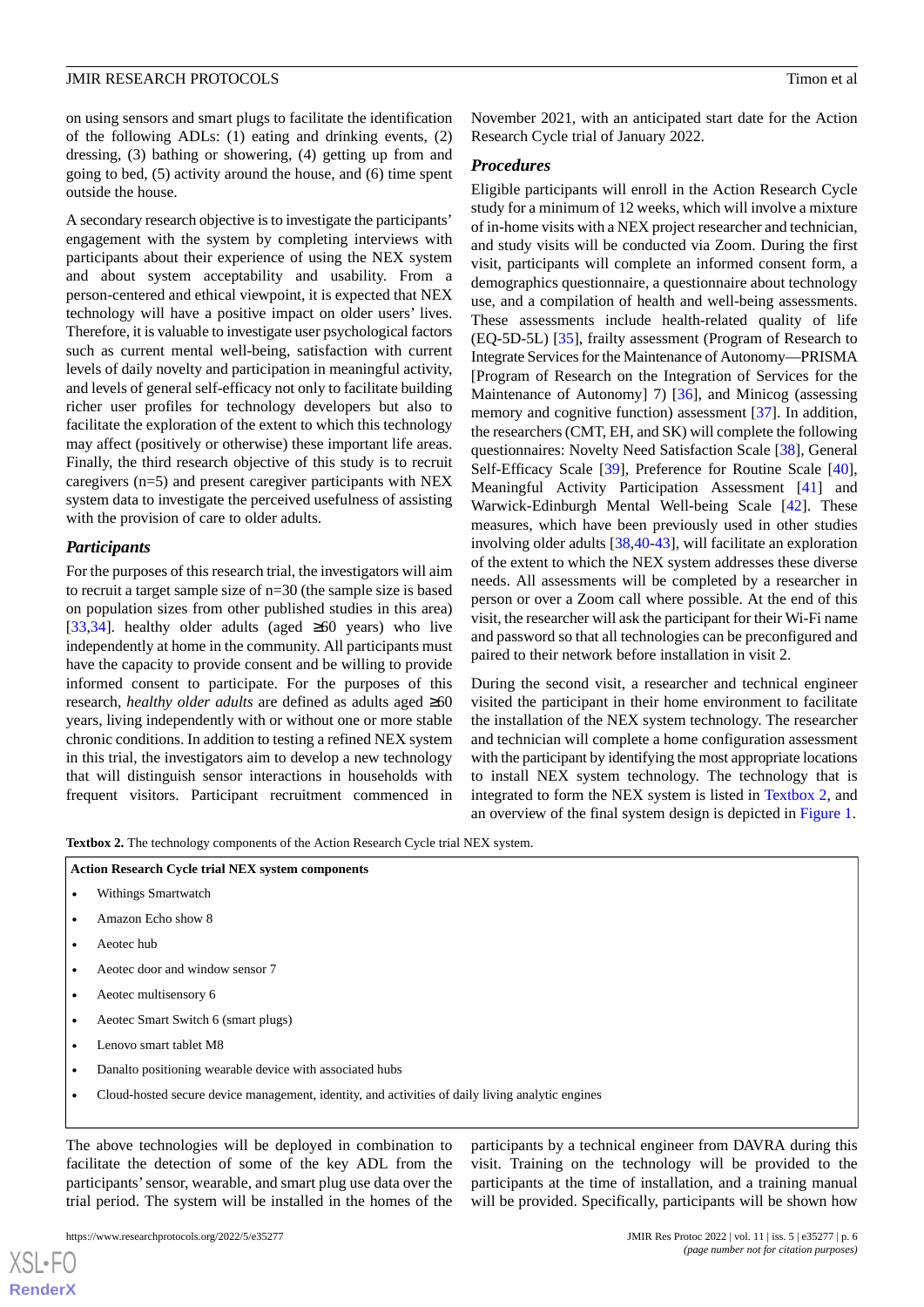on using sensors and smart plugs to facilitate the identification of the following ADLs: (1) eating and drinking events, (2) dressing, (3) bathing or showering, (4) getting up from and going to bed, (5) activity around the house, and (6) time spent outside the house.

A secondary research objective is to investigate the participants' engagement with the system by completing interviews with participants about their experience of using the NEX system and about system acceptability and usability. From a person-centered and ethical viewpoint, it is expected that NEX technology will have a positive impact on older users' lives. Therefore, it is valuable to investigate user psychological factors such as current mental well-being, satisfaction with current levels of daily novelty and participation in meaningful activity, and levels of general self-efficacy not only to facilitate building richer user profiles for technology developers but also to facilitate the exploration of the extent to which this technology may affect (positively or otherwise) these important life areas. Finally, the third research objective of this study is to recruit caregivers (n=5) and present caregiver participants with NEX system data to investigate the perceived usefulness of assisting with the provision of care to older adults.

# *Participants*

For the purposes of this research trial, the investigators will aim to recruit a target sample size of n=30 (the sample size is based on population sizes from other published studies in this area) [[33](#page-8-19)[,34](#page-8-20)]. healthy older adults (aged  $\geq 60$  years) who live independently at home in the community. All participants must have the capacity to provide consent and be willing to provide informed consent to participate. For the purposes of this research, *healthy older adults* are defined as adults aged ≥60 years, living independently with or without one or more stable chronic conditions. In addition to testing a refined NEX system in this trial, the investigators aim to develop a new technology that will distinguish sensor interactions in households with frequent visitors. Participant recruitment commenced in

November 2021, with an anticipated start date for the Action Research Cycle trial of January 2022.

# *Procedures*

Eligible participants will enroll in the Action Research Cycle study for a minimum of 12 weeks, which will involve a mixture of in-home visits with a NEX project researcher and technician, and study visits will be conducted via Zoom. During the first visit, participants will complete an informed consent form, a demographics questionnaire, a questionnaire about technology use, and a compilation of health and well-being assessments. These assessments include health-related quality of life (EQ-5D-5L) [[35\]](#page-8-21), frailty assessment (Program of Research to Integrate Services for the Maintenance of Autonomy—PRISMA [Program of Research on the Integration of Services for the Maintenance of Autonomy] 7) [[36\]](#page-8-22), and Minicog (assessing memory and cognitive function) assessment [\[37](#page-9-0)]. In addition, the researchers (CMT, EH, and SK) will complete the following questionnaires: Novelty Need Satisfaction Scale [[38\]](#page-9-1), General Self-Efficacy Scale [[39\]](#page-9-2), Preference for Routine Scale [[40\]](#page-9-3), Meaningful Activity Participation Assessment [[41\]](#page-9-4) and Warwick-Edinburgh Mental Well-being Scale [[42\]](#page-9-5). These measures, which have been previously used in other studies involving older adults [\[38](#page-9-1),[40-](#page-9-3)[43](#page-9-6)], will facilitate an exploration of the extent to which the NEX system addresses these diverse needs. All assessments will be completed by a researcher in person or over a Zoom call where possible. At the end of this visit, the researcher will ask the participant for their Wi-Fi name and password so that all technologies can be preconfigured and paired to their network before installation in visit 2.

During the second visit, a researcher and technical engineer visited the participant in their home environment to facilitate the installation of the NEX system technology. The researcher and technician will complete a home configuration assessment with the participant by identifying the most appropriate locations to install NEX system technology. The technology that is integrated to form the NEX system is listed in [Textbox 2,](#page-5-0) and an overview of the final system design is depicted in [Figure 1](#page-2-0).

<span id="page-5-0"></span>Textbox 2. The technology components of the Action Research Cycle trial NEX system.

#### **Action Research Cycle trial NEX system components**

- Withings Smartwatch
- Amazon Echo show 8
- Aeotec hub

 $XS$  • FO **[RenderX](http://www.renderx.com/)**

- Aeotec door and window sensor 7
- Aeotec multisensory 6
- Aeotec Smart Switch 6 (smart plugs)
- Lenovo smart tablet M8
- Danalto positioning wearable device with associated hubs
- Cloud-hosted secure device management, identity, and activities of daily living analytic engines

The above technologies will be deployed in combination to facilitate the detection of some of the key ADL from the participants'sensor, wearable, and smart plug use data over the trial period. The system will be installed in the homes of the participants by a technical engineer from DAVRA during this visit. Training on the technology will be provided to the participants at the time of installation, and a training manual will be provided. Specifically, participants will be shown how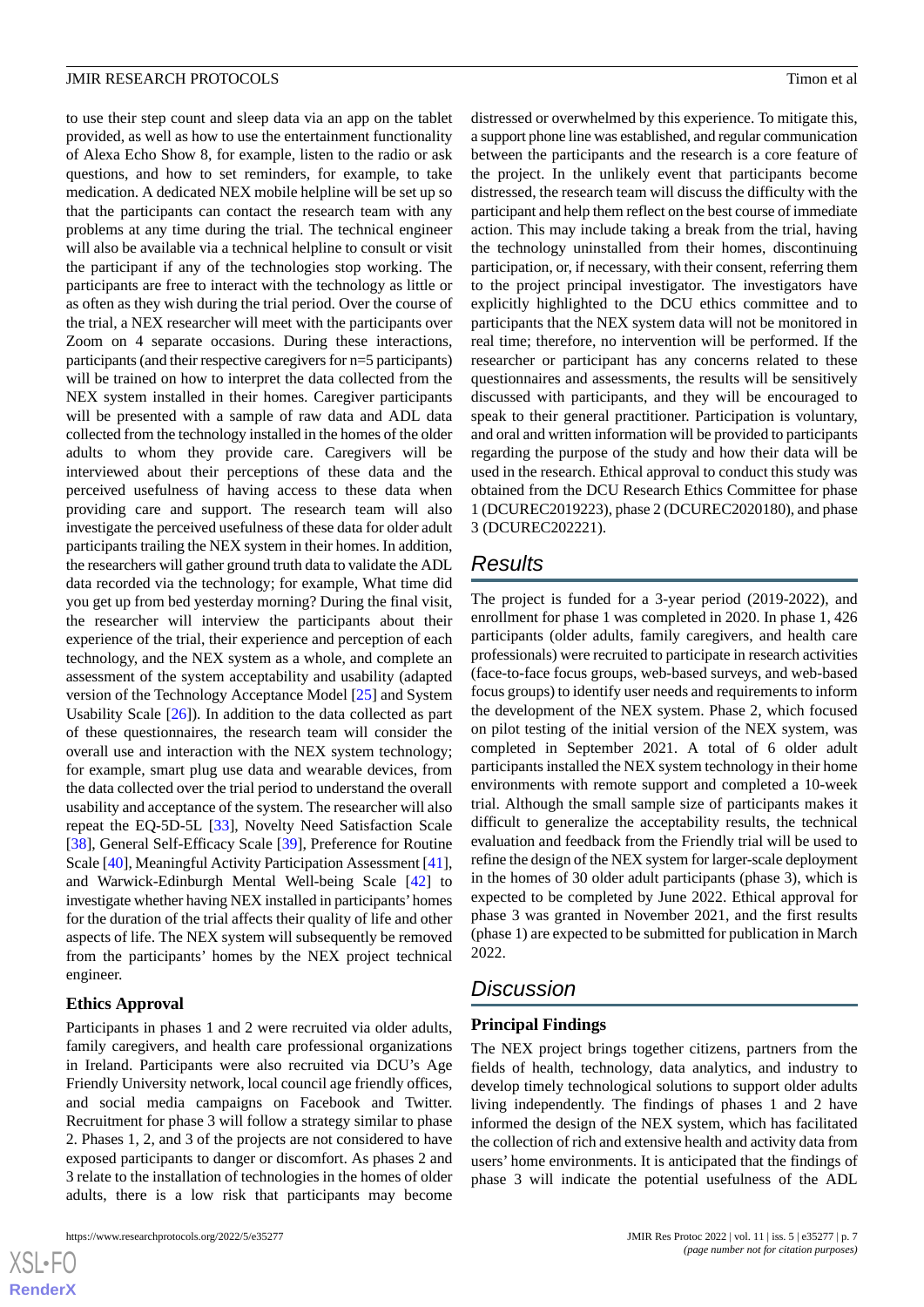to use their step count and sleep data via an app on the tablet provided, as well as how to use the entertainment functionality of Alexa Echo Show 8, for example, listen to the radio or ask questions, and how to set reminders, for example, to take medication. A dedicated NEX mobile helpline will be set up so that the participants can contact the research team with any problems at any time during the trial. The technical engineer will also be available via a technical helpline to consult or visit the participant if any of the technologies stop working. The participants are free to interact with the technology as little or as often as they wish during the trial period. Over the course of the trial, a NEX researcher will meet with the participants over Zoom on 4 separate occasions. During these interactions, participants (and their respective caregivers for n=5 participants) will be trained on how to interpret the data collected from the NEX system installed in their homes. Caregiver participants will be presented with a sample of raw data and ADL data collected from the technology installed in the homes of the older adults to whom they provide care. Caregivers will be interviewed about their perceptions of these data and the perceived usefulness of having access to these data when providing care and support. The research team will also investigate the perceived usefulness of these data for older adult participants trailing the NEX system in their homes. In addition, the researchers will gather ground truth data to validate the ADL data recorded via the technology; for example, What time did you get up from bed yesterday morning? During the final visit, the researcher will interview the participants about their experience of the trial, their experience and perception of each technology, and the NEX system as a whole, and complete an assessment of the system acceptability and usability (adapted version of the Technology Acceptance Model [[25\]](#page-8-11) and System Usability Scale [\[26](#page-8-12)]). In addition to the data collected as part of these questionnaires, the research team will consider the overall use and interaction with the NEX system technology; for example, smart plug use data and wearable devices, from the data collected over the trial period to understand the overall usability and acceptance of the system. The researcher will also repeat the EQ-5D-5L [[33\]](#page-8-19), Novelty Need Satisfaction Scale [[38\]](#page-9-1), General Self-Efficacy Scale [[39\]](#page-9-2), Preference for Routine Scale [[40\]](#page-9-3), Meaningful Activity Participation Assessment [[41\]](#page-9-4), and Warwick-Edinburgh Mental Well-being Scale [[42\]](#page-9-5) to investigate whether having NEX installed in participants'homes for the duration of the trial affects their quality of life and other aspects of life. The NEX system will subsequently be removed from the participants' homes by the NEX project technical engineer.

# **Ethics Approval**

Participants in phases 1 and 2 were recruited via older adults, family caregivers, and health care professional organizations in Ireland. Participants were also recruited via DCU's Age Friendly University network, local council age friendly offices, and social media campaigns on Facebook and Twitter. Recruitment for phase 3 will follow a strategy similar to phase 2. Phases 1, 2, and 3 of the projects are not considered to have exposed participants to danger or discomfort. As phases 2 and 3 relate to the installation of technologies in the homes of older adults, there is a low risk that participants may become

distressed or overwhelmed by this experience. To mitigate this, a support phone line was established, and regular communication between the participants and the research is a core feature of the project. In the unlikely event that participants become distressed, the research team will discuss the difficulty with the participant and help them reflect on the best course of immediate action. This may include taking a break from the trial, having the technology uninstalled from their homes, discontinuing participation, or, if necessary, with their consent, referring them to the project principal investigator. The investigators have explicitly highlighted to the DCU ethics committee and to participants that the NEX system data will not be monitored in real time; therefore, no intervention will be performed. If the researcher or participant has any concerns related to these questionnaires and assessments, the results will be sensitively discussed with participants, and they will be encouraged to speak to their general practitioner. Participation is voluntary, and oral and written information will be provided to participants regarding the purpose of the study and how their data will be used in the research. Ethical approval to conduct this study was obtained from the DCU Research Ethics Committee for phase 1 (DCUREC2019223), phase 2 (DCUREC2020180), and phase 3 (DCUREC202221).

# *Results*

The project is funded for a 3-year period (2019-2022), and enrollment for phase 1 was completed in 2020. In phase 1, 426 participants (older adults, family caregivers, and health care professionals) were recruited to participate in research activities (face-to-face focus groups, web-based surveys, and web-based focus groups) to identify user needs and requirements to inform the development of the NEX system. Phase 2, which focused on pilot testing of the initial version of the NEX system, was completed in September 2021. A total of 6 older adult participants installed the NEX system technology in their home environments with remote support and completed a 10-week trial. Although the small sample size of participants makes it difficult to generalize the acceptability results, the technical evaluation and feedback from the Friendly trial will be used to refine the design of the NEX system for larger-scale deployment in the homes of 30 older adult participants (phase 3), which is expected to be completed by June 2022. Ethical approval for phase 3 was granted in November 2021, and the first results (phase 1) are expected to be submitted for publication in March 2022.

# *Discussion*

### **Principal Findings**

The NEX project brings together citizens, partners from the fields of health, technology, data analytics, and industry to develop timely technological solutions to support older adults living independently. The findings of phases 1 and 2 have informed the design of the NEX system, which has facilitated the collection of rich and extensive health and activity data from users' home environments. It is anticipated that the findings of phase 3 will indicate the potential usefulness of the ADL

```
XS-FO
RenderX
```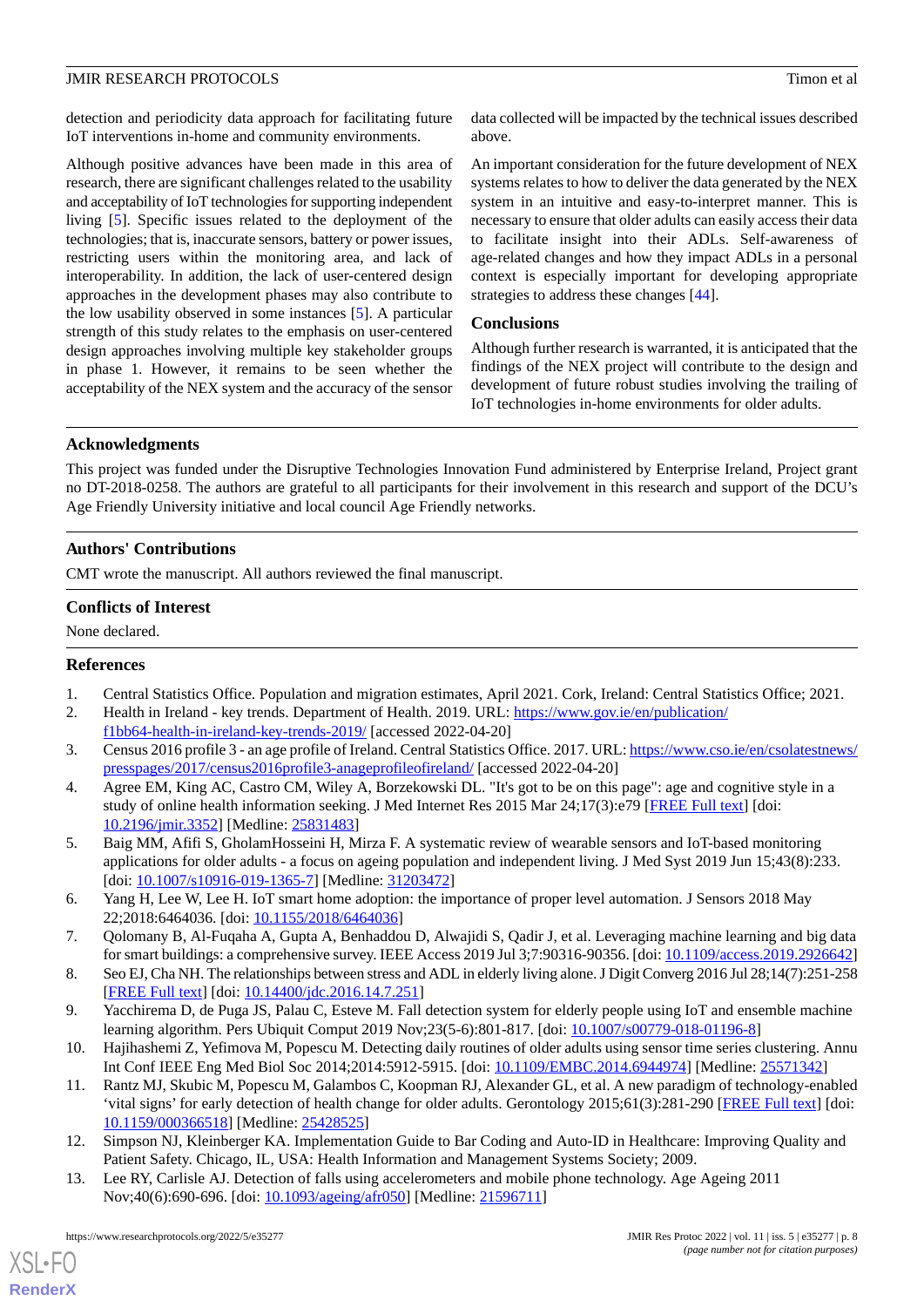detection and periodicity data approach for facilitating future IoT interventions in-home and community environments.

Although positive advances have been made in this area of research, there are significant challenges related to the usability and acceptability of IoT technologies for supporting independent living [\[5](#page-7-4)]. Specific issues related to the deployment of the technologies; that is, inaccurate sensors, battery or power issues, restricting users within the monitoring area, and lack of interoperability. In addition, the lack of user-centered design approaches in the development phases may also contribute to the low usability observed in some instances [\[5](#page-7-4)]. A particular strength of this study relates to the emphasis on user-centered design approaches involving multiple key stakeholder groups in phase 1. However, it remains to be seen whether the acceptability of the NEX system and the accuracy of the sensor

data collected will be impacted by the technical issues described above.

An important consideration for the future development of NEX systems relates to how to deliver the data generated by the NEX system in an intuitive and easy-to-interpret manner. This is necessary to ensure that older adults can easily access their data to facilitate insight into their ADLs. Self-awareness of age-related changes and how they impact ADLs in a personal context is especially important for developing appropriate strategies to address these changes [[44\]](#page-9-7).

# **Conclusions**

Although further research is warranted, it is anticipated that the findings of the NEX project will contribute to the design and development of future robust studies involving the trailing of IoT technologies in-home environments for older adults.

# **Acknowledgments**

This project was funded under the Disruptive Technologies Innovation Fund administered by Enterprise Ireland, Project grant no DT-2018-0258. The authors are grateful to all participants for their involvement in this research and support of the DCU's Age Friendly University initiative and local council Age Friendly networks.

# **Authors' Contributions**

CMT wrote the manuscript. All authors reviewed the final manuscript.

# **Conflicts of Interest**

<span id="page-7-1"></span><span id="page-7-0"></span>None declared.

# <span id="page-7-2"></span>**References**

- 1. Central Statistics Office. Population and migration estimates, April 2021. Cork, Ireland: Central Statistics Office; 2021.
- <span id="page-7-3"></span>2. Health in Ireland - key trends. Department of Health. 2019. URL: [https://www.gov.ie/en/publication/](https://www.gov.ie/en/publication/f1bb64-health-in-ireland-key-trends-2019/) [f1bb64-health-in-ireland-key-trends-2019/](https://www.gov.ie/en/publication/f1bb64-health-in-ireland-key-trends-2019/) [accessed 2022-04-20]
- <span id="page-7-4"></span>3. Census 2016 profile 3 - an age profile of Ireland. Central Statistics Office. 2017. URL: [https://www.cso.ie/en/csolatestnews/](https://www.cso.ie/en/csolatestnews/presspages/2017/census2016profile3-anageprofileofireland/) [presspages/2017/census2016profile3-anageprofileofireland/](https://www.cso.ie/en/csolatestnews/presspages/2017/census2016profile3-anageprofileofireland/) [accessed 2022-04-20]
- <span id="page-7-5"></span>4. Agree EM, King AC, Castro CM, Wiley A, Borzekowski DL. "It's got to be on this page": age and cognitive style in a study of online health information seeking. J Med Internet Res 2015 Mar 24;17(3):e79 [[FREE Full text](https://www.jmir.org/2015/3/e79/)] [doi: [10.2196/jmir.3352](http://dx.doi.org/10.2196/jmir.3352)] [Medline: [25831483](http://www.ncbi.nlm.nih.gov/entrez/query.fcgi?cmd=Retrieve&db=PubMed&list_uids=25831483&dopt=Abstract)]
- <span id="page-7-6"></span>5. Baig MM, Afifi S, GholamHosseini H, Mirza F. A systematic review of wearable sensors and IoT-based monitoring applications for older adults - a focus on ageing population and independent living. J Med Syst 2019 Jun 15;43(8):233. [doi: [10.1007/s10916-019-1365-7](http://dx.doi.org/10.1007/s10916-019-1365-7)] [Medline: [31203472\]](http://www.ncbi.nlm.nih.gov/entrez/query.fcgi?cmd=Retrieve&db=PubMed&list_uids=31203472&dopt=Abstract)
- <span id="page-7-8"></span><span id="page-7-7"></span>6. Yang H, Lee W, Lee H. IoT smart home adoption: the importance of proper level automation. J Sensors 2018 May 22;2018:6464036. [doi: [10.1155/2018/6464036](http://dx.doi.org/10.1155/2018/6464036)]
- <span id="page-7-9"></span>7. Qolomany B, Al-Fuqaha A, Gupta A, Benhaddou D, Alwajidi S, Qadir J, et al. Leveraging machine learning and big data for smart buildings: a comprehensive survey. IEEE Access 2019 Jul 3;7:90316-90356. [doi: [10.1109/access.2019.2926642](http://dx.doi.org/10.1109/access.2019.2926642)]
- <span id="page-7-10"></span>8. Seo EJ, Cha NH. The relationships between stress and ADL in elderly living alone. J Digit Converg 2016 Jul 28;14(7):251-258 [[FREE Full text](https://doi.org/10.14400/JDC.2016.14.7.251)] [doi: [10.14400/jdc.2016.14.7.251\]](http://dx.doi.org/10.14400/jdc.2016.14.7.251)
- <span id="page-7-11"></span>9. Yacchirema D, de Puga JS, Palau C, Esteve M. Fall detection system for elderly people using IoT and ensemble machine learning algorithm. Pers Ubiquit Comput 2019 Nov;23(5-6):801-817. [doi: [10.1007/s00779-018-01196-8](http://dx.doi.org/10.1007/s00779-018-01196-8)]
- <span id="page-7-12"></span>10. Hajihashemi Z, Yefimova M, Popescu M. Detecting daily routines of older adults using sensor time series clustering. Annu Int Conf IEEE Eng Med Biol Soc 2014;2014:5912-5915. [doi: [10.1109/EMBC.2014.6944974](http://dx.doi.org/10.1109/EMBC.2014.6944974)] [Medline: [25571342](http://www.ncbi.nlm.nih.gov/entrez/query.fcgi?cmd=Retrieve&db=PubMed&list_uids=25571342&dopt=Abstract)]
- 11. Rantz MJ, Skubic M, Popescu M, Galambos C, Koopman RJ, Alexander GL, et al. A new paradigm of technology-enabled 'vital signs' for early detection of health change for older adults. Gerontology 2015;61(3):281-290 [[FREE Full text](https://www.karger.com?DOI=10.1159/000366518)] [doi: [10.1159/000366518\]](http://dx.doi.org/10.1159/000366518) [Medline: [25428525\]](http://www.ncbi.nlm.nih.gov/entrez/query.fcgi?cmd=Retrieve&db=PubMed&list_uids=25428525&dopt=Abstract)
- 12. Simpson NJ, Kleinberger KA. Implementation Guide to Bar Coding and Auto-ID in Healthcare: Improving Quality and Patient Safety. Chicago, IL, USA: Health Information and Management Systems Society; 2009.
- 13. Lee RY, Carlisle AJ. Detection of falls using accelerometers and mobile phone technology. Age Ageing 2011 Nov;40(6):690-696. [doi: [10.1093/ageing/afr050](http://dx.doi.org/10.1093/ageing/afr050)] [Medline: [21596711](http://www.ncbi.nlm.nih.gov/entrez/query.fcgi?cmd=Retrieve&db=PubMed&list_uids=21596711&dopt=Abstract)]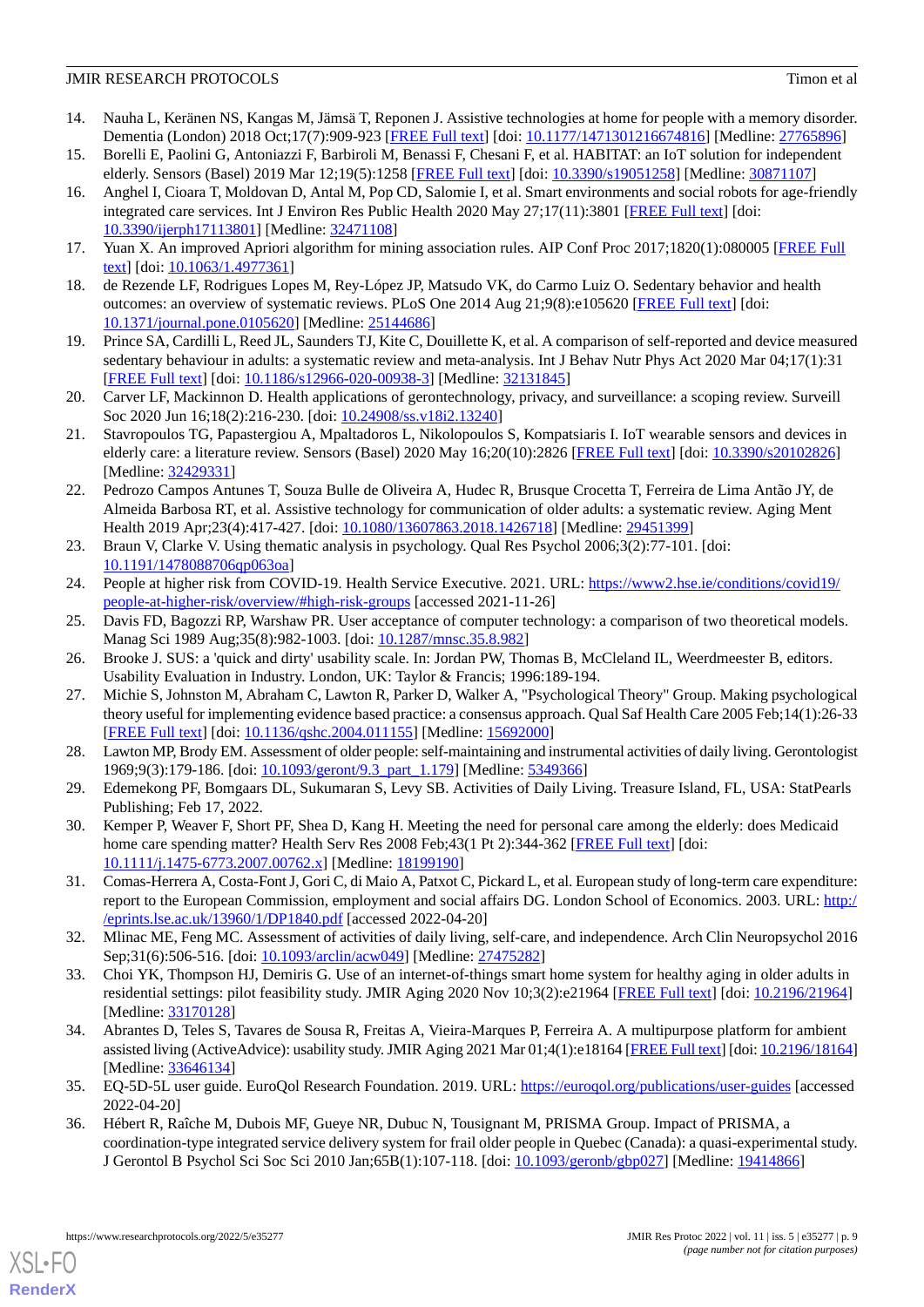- <span id="page-8-0"></span>14. Nauha L, Keränen NS, Kangas M, Jämsä T, Reponen J. Assistive technologies at home for people with a memory disorder. Dementia (London) 2018 Oct;17(7):909-923 [[FREE Full text\]](https://journals.sagepub.com/doi/10.1177/1471301216674816?url_ver=Z39.88-2003&rfr_id=ori:rid:crossref.org&rfr_dat=cr_pub%3dpubmed) [doi: [10.1177/1471301216674816](http://dx.doi.org/10.1177/1471301216674816)] [Medline: [27765896](http://www.ncbi.nlm.nih.gov/entrez/query.fcgi?cmd=Retrieve&db=PubMed&list_uids=27765896&dopt=Abstract)]
- <span id="page-8-2"></span><span id="page-8-1"></span>15. Borelli E, Paolini G, Antoniazzi F, Barbiroli M, Benassi F, Chesani F, et al. HABITAT: an IoT solution for independent elderly. Sensors (Basel) 2019 Mar 12;19(5):1258 [\[FREE Full text\]](https://www.mdpi.com/resolver?pii=s19051258) [doi: [10.3390/s19051258](http://dx.doi.org/10.3390/s19051258)] [Medline: [30871107\]](http://www.ncbi.nlm.nih.gov/entrez/query.fcgi?cmd=Retrieve&db=PubMed&list_uids=30871107&dopt=Abstract)
- 16. Anghel I, Cioara T, Moldovan D, Antal M, Pop CD, Salomie I, et al. Smart environments and social robots for age-friendly integrated care services. Int J Environ Res Public Health 2020 May 27;17(11):3801 [[FREE Full text](https://www.mdpi.com/resolver?pii=ijerph17113801)] [doi: [10.3390/ijerph17113801](http://dx.doi.org/10.3390/ijerph17113801)] [Medline: [32471108\]](http://www.ncbi.nlm.nih.gov/entrez/query.fcgi?cmd=Retrieve&db=PubMed&list_uids=32471108&dopt=Abstract)
- <span id="page-8-4"></span><span id="page-8-3"></span>17. Yuan X. An improved Apriori algorithm for mining association rules. AIP Conf Proc 2017;1820(1):080005 [[FREE Full](https://doi.org/10.1063/1.4977361) [text](https://doi.org/10.1063/1.4977361)] [doi: [10.1063/1.4977361](http://dx.doi.org/10.1063/1.4977361)]
- <span id="page-8-5"></span>18. de Rezende LF, Rodrigues Lopes M, Rey-López JP, Matsudo VK, do Carmo Luiz O. Sedentary behavior and health outcomes: an overview of systematic reviews. PLoS One 2014 Aug 21;9(8):e105620 [[FREE Full text](https://dx.plos.org/10.1371/journal.pone.0105620)] [doi: [10.1371/journal.pone.0105620\]](http://dx.doi.org/10.1371/journal.pone.0105620) [Medline: [25144686](http://www.ncbi.nlm.nih.gov/entrez/query.fcgi?cmd=Retrieve&db=PubMed&list_uids=25144686&dopt=Abstract)]
- <span id="page-8-6"></span>19. Prince SA, Cardilli L, Reed JL, Saunders TJ, Kite C, Douillette K, et al. A comparison of self-reported and device measured sedentary behaviour in adults: a systematic review and meta-analysis. Int J Behav Nutr Phys Act 2020 Mar 04;17(1):31 [[FREE Full text](https://ijbnpa.biomedcentral.com/articles/10.1186/s12966-020-00938-3)] [doi: [10.1186/s12966-020-00938-3\]](http://dx.doi.org/10.1186/s12966-020-00938-3) [Medline: [32131845](http://www.ncbi.nlm.nih.gov/entrez/query.fcgi?cmd=Retrieve&db=PubMed&list_uids=32131845&dopt=Abstract)]
- <span id="page-8-7"></span>20. Carver LF, Mackinnon D. Health applications of gerontechnology, privacy, and surveillance: a scoping review. Surveill Soc 2020 Jun 16;18(2):216-230. [doi: [10.24908/ss.v18i2.13240\]](http://dx.doi.org/10.24908/ss.v18i2.13240)
- <span id="page-8-8"></span>21. Stavropoulos TG, Papastergiou A, Mpaltadoros L, Nikolopoulos S, Kompatsiaris I. IoT wearable sensors and devices in elderly care: a literature review. Sensors (Basel) 2020 May 16;20(10):2826 [[FREE Full text](https://www.mdpi.com/resolver?pii=s20102826)] [doi: [10.3390/s20102826](http://dx.doi.org/10.3390/s20102826)] [Medline: [32429331](http://www.ncbi.nlm.nih.gov/entrez/query.fcgi?cmd=Retrieve&db=PubMed&list_uids=32429331&dopt=Abstract)]
- <span id="page-8-9"></span>22. Pedrozo Campos Antunes T, Souza Bulle de Oliveira A, Hudec R, Brusque Crocetta T, Ferreira de Lima Antão JY, de Almeida Barbosa RT, et al. Assistive technology for communication of older adults: a systematic review. Aging Ment Health 2019 Apr;23(4):417-427. [doi: [10.1080/13607863.2018.1426718\]](http://dx.doi.org/10.1080/13607863.2018.1426718) [Medline: [29451399\]](http://www.ncbi.nlm.nih.gov/entrez/query.fcgi?cmd=Retrieve&db=PubMed&list_uids=29451399&dopt=Abstract)
- <span id="page-8-11"></span><span id="page-8-10"></span>23. Braun V, Clarke V. Using thematic analysis in psychology. Qual Res Psychol 2006;3(2):77-101. [doi: [10.1191/1478088706qp063oa](http://dx.doi.org/10.1191/1478088706qp063oa)]
- <span id="page-8-12"></span>24. People at higher risk from COVID-19. Health Service Executive. 2021. URL: [https://www2.hse.ie/conditions/covid19/](https://www2.hse.ie/conditions/covid19/people-at-higher-risk/overview/#high-risk-groups) [people-at-higher-risk/overview/#high-risk-groups](https://www2.hse.ie/conditions/covid19/people-at-higher-risk/overview/#high-risk-groups) [accessed 2021-11-26]
- <span id="page-8-13"></span>25. Davis FD, Bagozzi RP, Warshaw PR. User acceptance of computer technology: a comparison of two theoretical models. Manag Sci 1989 Aug;35(8):982-1003. [doi: [10.1287/mnsc.35.8.982\]](http://dx.doi.org/10.1287/mnsc.35.8.982)
- <span id="page-8-14"></span>26. Brooke J. SUS: a 'quick and dirty' usability scale. In: Jordan PW, Thomas B, McCleland IL, Weerdmeester B, editors. Usability Evaluation in Industry. London, UK: Taylor & Francis; 1996:189-194.
- <span id="page-8-15"></span>27. Michie S, Johnston M, Abraham C, Lawton R, Parker D, Walker A, "Psychological Theory" Group. Making psychological theory useful for implementing evidence based practice: a consensus approach. Qual Saf Health Care 2005 Feb;14(1):26-33 [[FREE Full text](https://qhc.bmj.com/lookup/pmidlookup?view=long&pmid=15692000)] [doi: [10.1136/qshc.2004.011155](http://dx.doi.org/10.1136/qshc.2004.011155)] [Medline: [15692000\]](http://www.ncbi.nlm.nih.gov/entrez/query.fcgi?cmd=Retrieve&db=PubMed&list_uids=15692000&dopt=Abstract)
- <span id="page-8-16"></span>28. Lawton MP, Brody EM. Assessment of older people: self-maintaining and instrumental activities of daily living. Gerontologist 1969;9(3):179-186. [doi: [10.1093/geront/9.3\\_part\\_1.179\]](http://dx.doi.org/10.1093/geront/9.3_part_1.179) [Medline: [5349366](http://www.ncbi.nlm.nih.gov/entrez/query.fcgi?cmd=Retrieve&db=PubMed&list_uids=5349366&dopt=Abstract)]
- <span id="page-8-17"></span>29. Edemekong PF, Bomgaars DL, Sukumaran S, Levy SB. Activities of Daily Living. Treasure Island, FL, USA: StatPearls Publishing; Feb 17, 2022.
- <span id="page-8-18"></span>30. Kemper P, Weaver F, Short PF, Shea D, Kang H. Meeting the need for personal care among the elderly: does Medicaid home care spending matter? Health Serv Res 2008 Feb; 43(1 Pt 2): 344-362 [\[FREE Full text\]](http://europepmc.org/abstract/MED/18199190) [doi: [10.1111/j.1475-6773.2007.00762.x\]](http://dx.doi.org/10.1111/j.1475-6773.2007.00762.x) [Medline: [18199190\]](http://www.ncbi.nlm.nih.gov/entrez/query.fcgi?cmd=Retrieve&db=PubMed&list_uids=18199190&dopt=Abstract)
- <span id="page-8-19"></span>31. Comas-Herrera A, Costa-Font J, Gori C, di Maio A, Patxot C, Pickard L, et al. European study of long-term care expenditure: report to the European Commission, employment and social affairs DG. London School of Economics. 2003. URL: [http:/](http://eprints.lse.ac.uk/13960/1/DP1840.pdf) [/eprints.lse.ac.uk/13960/1/DP1840.pdf](http://eprints.lse.ac.uk/13960/1/DP1840.pdf) [accessed 2022-04-20]
- <span id="page-8-20"></span>32. Mlinac ME, Feng MC. Assessment of activities of daily living, self-care, and independence. Arch Clin Neuropsychol 2016 Sep;31(6):506-516. [doi: [10.1093/arclin/acw049](http://dx.doi.org/10.1093/arclin/acw049)] [Medline: [27475282](http://www.ncbi.nlm.nih.gov/entrez/query.fcgi?cmd=Retrieve&db=PubMed&list_uids=27475282&dopt=Abstract)]
- <span id="page-8-21"></span>33. Choi YK, Thompson HJ, Demiris G. Use of an internet-of-things smart home system for healthy aging in older adults in residential settings: pilot feasibility study. JMIR Aging 2020 Nov 10;3(2):e21964 [\[FREE Full text\]](https://aging.jmir.org/2020/2/e21964/) [doi: [10.2196/21964](http://dx.doi.org/10.2196/21964)] [Medline: [33170128](http://www.ncbi.nlm.nih.gov/entrez/query.fcgi?cmd=Retrieve&db=PubMed&list_uids=33170128&dopt=Abstract)]
- <span id="page-8-22"></span>34. Abrantes D, Teles S, Tavares de Sousa R, Freitas A, Vieira-Marques P, Ferreira A. A multipurpose platform for ambient assisted living (ActiveAdvice): usability study. JMIR Aging 2021 Mar 01;4(1):e18164 [\[FREE Full text\]](https://aging.jmir.org/2021/1/e18164/) [doi: [10.2196/18164\]](http://dx.doi.org/10.2196/18164) [Medline: [33646134](http://www.ncbi.nlm.nih.gov/entrez/query.fcgi?cmd=Retrieve&db=PubMed&list_uids=33646134&dopt=Abstract)]
- 35. EQ-5D-5L user guide. EuroQol Research Foundation. 2019. URL: <https://euroqol.org/publications/user-guides> [accessed 2022-04-20]
- 36. Hébert R, Raîche M, Dubois MF, Gueye NR, Dubuc N, Tousignant M, PRISMA Group. Impact of PRISMA, a coordination-type integrated service delivery system for frail older people in Quebec (Canada): a quasi-experimental study. J Gerontol B Psychol Sci Soc Sci 2010 Jan;65B(1):107-118. [doi: [10.1093/geronb/gbp027\]](http://dx.doi.org/10.1093/geronb/gbp027) [Medline: [19414866](http://www.ncbi.nlm.nih.gov/entrez/query.fcgi?cmd=Retrieve&db=PubMed&list_uids=19414866&dopt=Abstract)]